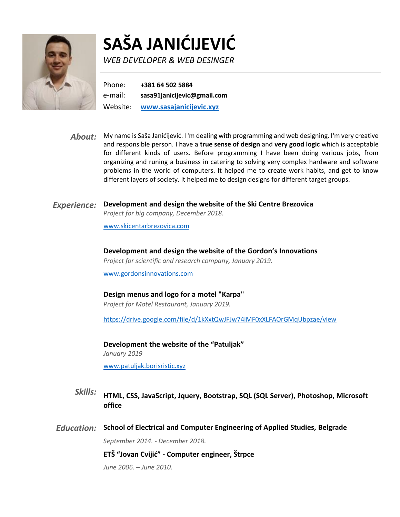

# **SAŠA JANIĆIJEVIĆ**

*WEB DEVELOPER & WEB DESINGER*

Phone: **+381 64 502 5884**  e-mail: **sasa91janicijevic@gmail.com** Website: **[www.sasajanicijevic.xyz](http://www.sasajanicijevic.xyz/)**

*About:* My name is Saša Janićijević. I 'm dealing with programming and web designing. I'm very creative and responsible person. I have a **true sense of design** and **very good logic** which is acceptable for different kinds of users. Before programming I have been doing various jobs, from organizing and runing a business in catering to solving very complex hardware and software problems in the world of computers. It helped me to create work habits, and get to know different layers of society. It helped me to design designs for different target groups.

#### *Experience:* **Development and design the website of the Ski Centre Brezovica**

*Project for big company, December 2018.*

[www.skicentarbrezovica.com](http://www.skicentarbrezovica.com/)

**Development and design the website of the Gordon's Innovations**

*Project for scientific and research company, January 2019.*

[www.gordonsinnovations.com](http://www.gordonsinnovations.com/)

#### **Design menus and logo for a motel "Karpa"**

*Project for Motel Restaurant, January 2019.*

https://drive.google.com/file/d/1kXxtQwJFJw74iMF0xXLFAOrGMqUbpzae/view

**Development the website of the "Patuljak"** *January 2019*

www.patuljak.borisristic.xyz

- *Skills:* **HTML, CSS, JavaScript, Jquery, Bootstrap, SQL (SQL Server), Photoshop, Microsoft office**
- *Education:* **School of Electrical and Computer Engineering of Applied Studies, Belgrade**

*September 2014. - December 2018.*

**ETŠ "Jovan Cvijić" - Computer engineer, Štrpce**

*June 2006. – June 2010.*